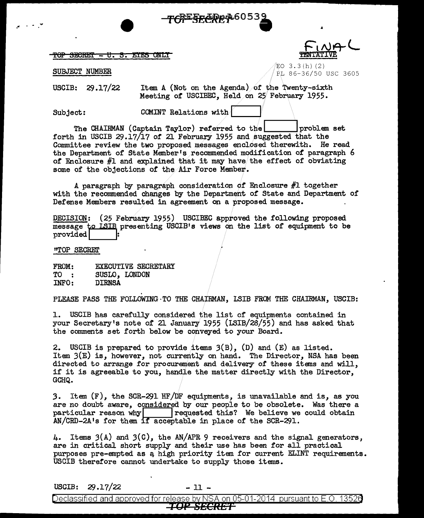## TOP SECRET - U.S. EYES ONLY

**Flru&L TENTATIVE** 

**SUBJECT NUMBER** • PL 86-36/50 USC 3605

USCIB: 29.17/22 Item A (Not on the Agenda) of the Twenty-sixth Meeting of USCIBEC, Held on 25 February 1955.

 $Subject:$  COMINT Relations with

 $\bullet$  . Tor secret  $\bullet$  .

The CHAIRMAN (Captain Taylor) referred to the  $1$ ---1 problem set forth in USCIB 29.17/17 of 21 February 1955 and suggested that the Connnittee review the two proposed messages enclosed therewith. He read the Department of State Member's recommended modification of paragraph 6 of Enclosure  $#1$  and explained that it may have/the effect of obviating some of the objections of the Air Force Member.

A paragraph by paragraph consideration of Enclosure #1 together with the recommended changes by the Department of State and Department of Defense Members resulted in agreement on a proposed message.

DECISION: (25 February 1955) USCIBEC approved the following proposed message to ISIB presenting USCIB's views on the list of equipment to be provided

<sup>11</sup>TOP SECREI'

FROM: TO INFO: EXECUTIVE SECRETARY SUSLO, LONDON DIRNSA

PLEASE PASS THE FOLLOWING TO THE CHAIRMAN, LSIB FROM THE CHAIRMAN, USCIB:

1. USCIB has carefully considered the list of equipments contained in your Secretary's note of 21 January 1955 (LSIB/28/55) and has asked that the comments set forth below be conveyed to your Board.

2. USCIB is prepared to provide items 3(B), (D) and (E) as listed. Item 3(E) is, however, not currently on hand. The Director, NSA has been directed to arrange for procurement and delivery of these items and will, if it is agreeable to you, handle the matter directly with the Director, GCHQ.

*3.* Item (F), the SCR-291 HF /f/JF equipments, is unavailable and is, as you are no doubt aware, considered by our people to be obsolete. Was there a particular reason why  $\begin{array}{|l|}\n\hline\n\end{array}$  requested this? We believe we could obtain  $requested this?$  We believe we could obtain AN/CRD-2A's for them if acceptable in place of the SCR-291.

4. Items 3(A) and 3(0), the AN/APR 9 receivers and the signal generators, are in critical short supply and their use has been for all practical purposes pre-empted as a high priority item for current ELINT requirements. USCIB therefore cannot undertake to supply those items.

 $USCIB: 29.17/22$  - 11 -

Declassified and approved for release by NSA on 05-01-2014 pursuant to E.O. 13526<br>TOP SECRET